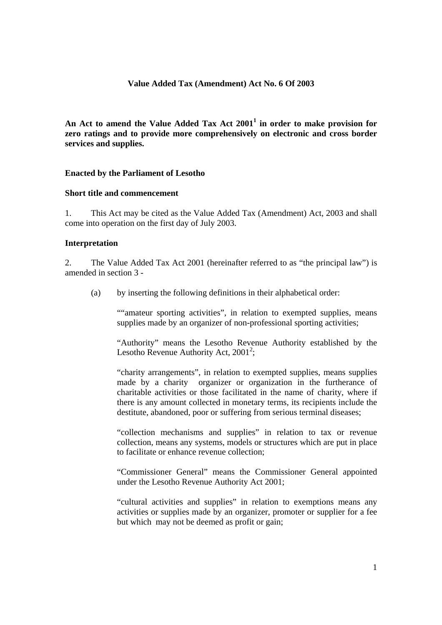### **Value Added Tax (Amendment) Act No. 6 Of 2003**

An Act to amend the Value Added Tax Act 2001<sup>1</sup> in order to make provision for **zero ratings and to provide more comprehensively on electronic and cross border services and supplies.** 

# **Enacted by the Parliament of Lesotho**

# **Short title and commencement**

1. This Act may be cited as the Value Added Tax (Amendment) Act, 2003 and shall come into operation on the first day of July 2003.

#### **Interpretation**

2. The Value Added Tax Act 2001 (hereinafter referred to as "the principal law") is amended in section 3 -

(a) by inserting the following definitions in their alphabetical order:

""amateur sporting activities", in relation to exempted supplies, means supplies made by an organizer of non-professional sporting activities;

"Authority" means the Lesotho Revenue Authority established by the Lesotho Revenue Authority Act,  $2001^2$ ;

"charity arrangements", in relation to exempted supplies, means supplies made by a charity organizer or organization in the furtherance of charitable activities or those facilitated in the name of charity, where if there is any amount collected in monetary terms, its recipients include the destitute, abandoned, poor or suffering from serious terminal diseases;

"collection mechanisms and supplies" in relation to tax or revenue collection, means any systems, models or structures which are put in place to facilitate or enhance revenue collection;

"Commissioner General" means the Commissioner General appointed under the Lesotho Revenue Authority Act 2001;

"cultural activities and supplies" in relation to exemptions means any activities or supplies made by an organizer, promoter or supplier for a fee but which may not be deemed as profit or gain;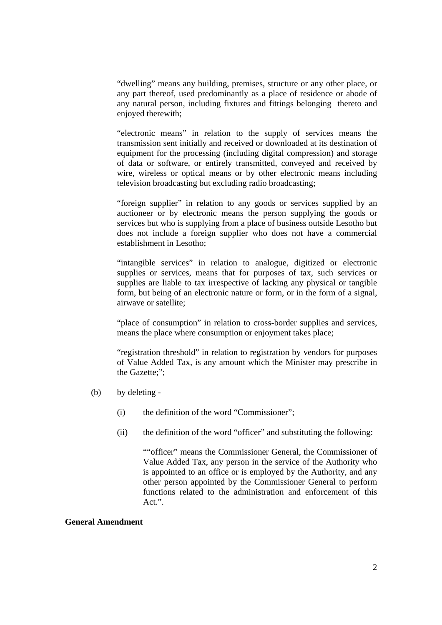"dwelling" means any building, premises, structure or any other place, or any part thereof, used predominantly as a place of residence or abode of any natural person, including fixtures and fittings belonging thereto and enjoyed therewith;

"electronic means" in relation to the supply of services means the transmission sent initially and received or downloaded at its destination of equipment for the processing (including digital compression) and storage of data or software, or entirely transmitted, conveyed and received by wire, wireless or optical means or by other electronic means including television broadcasting but excluding radio broadcasting;

"foreign supplier" in relation to any goods or services supplied by an auctioneer or by electronic means the person supplying the goods or services but who is supplying from a place of business outside Lesotho but does not include a foreign supplier who does not have a commercial establishment in Lesotho;

"intangible services" in relation to analogue, digitized or electronic supplies or services, means that for purposes of tax, such services or supplies are liable to tax irrespective of lacking any physical or tangible form, but being of an electronic nature or form, or in the form of a signal, airwave or satellite;

"place of consumption" in relation to cross-border supplies and services, means the place where consumption or enjoyment takes place;

"registration threshold" in relation to registration by vendors for purposes of Value Added Tax, is any amount which the Minister may prescribe in the Gazette;";

- (b) by deleting
	- (i) the definition of the word "Commissioner";
	- (ii) the definition of the word "officer" and substituting the following:

""officer" means the Commissioner General, the Commissioner of Value Added Tax, any person in the service of the Authority who is appointed to an office or is employed by the Authority, and any other person appointed by the Commissioner General to perform functions related to the administration and enforcement of this Act.".

# **General Amendment**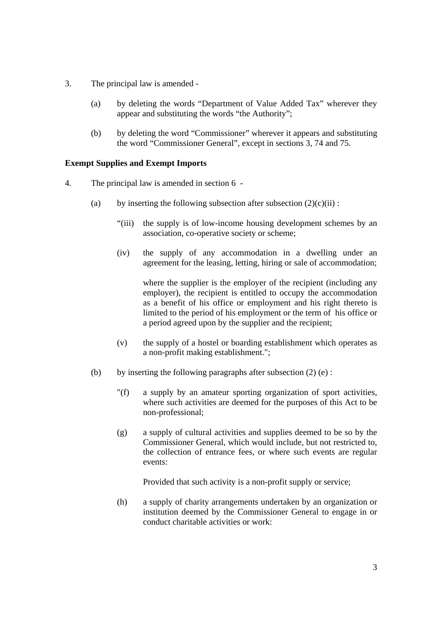- 3. The principal law is amended
	- (a) by deleting the words "Department of Value Added Tax" wherever they appear and substituting the words "the Authority";
	- (b) by deleting the word "Commissioner" wherever it appears and substituting the word "Commissioner General", except in sections 3, 74 and 75.

### **Exempt Supplies and Exempt Imports**

- 4. The principal law is amended in section 6
	- (a) by inserting the following subsection after subsection  $(2)(c)(ii)$ :
		- "(iii) the supply is of low-income housing development schemes by an association, co-operative society or scheme;
		- (iv) the supply of any accommodation in a dwelling under an agreement for the leasing, letting, hiring or sale of accommodation;

where the supplier is the employer of the recipient (including any employer), the recipient is entitled to occupy the accommodation as a benefit of his office or employment and his right thereto is limited to the period of his employment or the term of his office or a period agreed upon by the supplier and the recipient;

- (v) the supply of a hostel or boarding establishment which operates as a non-profit making establishment.";
- (b) by inserting the following paragraphs after subsection  $(2)$  (e):
	- "(f) a supply by an amateur sporting organization of sport activities, where such activities are deemed for the purposes of this Act to be non-professional;
	- (g) a supply of cultural activities and supplies deemed to be so by the Commissioner General, which would include, but not restricted to, the collection of entrance fees, or where such events are regular events:

Provided that such activity is a non-profit supply or service;

(h) a supply of charity arrangements undertaken by an organization or institution deemed by the Commissioner General to engage in or conduct charitable activities or work: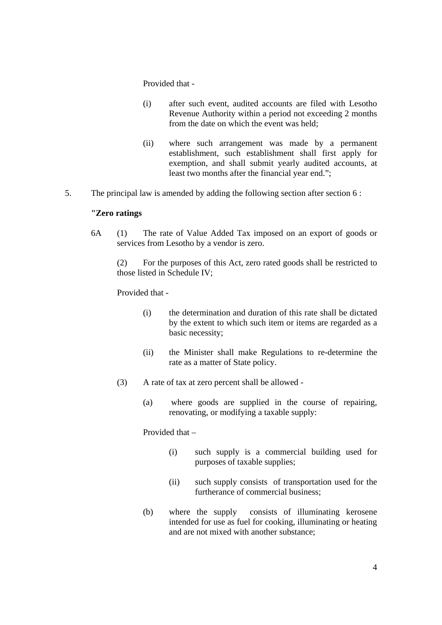### Provided that -

- (i) after such event, audited accounts are filed with Lesotho Revenue Authority within a period not exceeding 2 months from the date on which the event was held;
- (ii) where such arrangement was made by a permanent establishment, such establishment shall first apply for exemption, and shall submit yearly audited accounts, at least two months after the financial year end.";
- 5. The principal law is amended by adding the following section after section 6 :

# **"Zero ratings**

6A (1) The rate of Value Added Tax imposed on an export of goods or services from Lesotho by a vendor is zero.

(2) For the purposes of this Act, zero rated goods shall be restricted to those listed in Schedule IV;

Provided that -

- (i) the determination and duration of this rate shall be dictated by the extent to which such item or items are regarded as a basic necessity;
- (ii) the Minister shall make Regulations to re-determine the rate as a matter of State policy.
- (3) A rate of tax at zero percent shall be allowed
	- (a) where goods are supplied in the course of repairing, renovating, or modifying a taxable supply:

Provided that –

- (i) such supply is a commercial building used for purposes of taxable supplies;
- (ii) such supply consists of transportation used for the furtherance of commercial business;
- (b) where the supply consists of illuminating kerosene intended for use as fuel for cooking, illuminating or heating and are not mixed with another substance;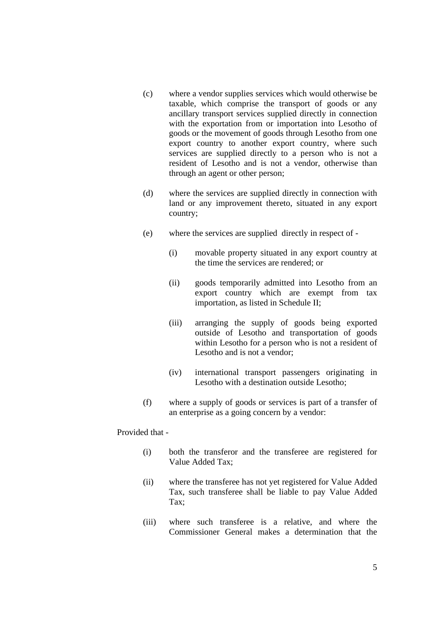- (c) where a vendor supplies services which would otherwise be taxable, which comprise the transport of goods or any ancillary transport services supplied directly in connection with the exportation from or importation into Lesotho of goods or the movement of goods through Lesotho from one export country to another export country, where such services are supplied directly to a person who is not a resident of Lesotho and is not a vendor, otherwise than through an agent or other person;
- (d) where the services are supplied directly in connection with land or any improvement thereto, situated in any export country;
- (e) where the services are supplied directly in respect of
	- (i) movable property situated in any export country at the time the services are rendered; or
	- (ii) goods temporarily admitted into Lesotho from an export country which are exempt from tax importation, as listed in Schedule II;
	- (iii) arranging the supply of goods being exported outside of Lesotho and transportation of goods within Lesotho for a person who is not a resident of Lesotho and is not a vendor;
	- (iv) international transport passengers originating in Lesotho with a destination outside Lesotho;
- (f) where a supply of goods or services is part of a transfer of an enterprise as a going concern by a vendor:

Provided that -

- (i) both the transferor and the transferee are registered for Value Added Tax;
- (ii) where the transferee has not yet registered for Value Added Tax, such transferee shall be liable to pay Value Added Tax;
- (iii) where such transferee is a relative, and where the Commissioner General makes a determination that the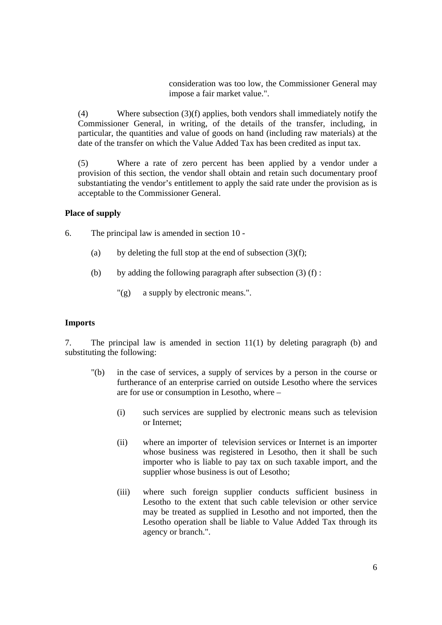consideration was too low, the Commissioner General may impose a fair market value.".

 (4) Where subsection (3)(f) applies, both vendors shall immediately notify the Commissioner General, in writing, of the details of the transfer, including, in particular, the quantities and value of goods on hand (including raw materials) at the date of the transfer on which the Value Added Tax has been credited as input tax.

 (5) Where a rate of zero percent has been applied by a vendor under a provision of this section, the vendor shall obtain and retain such documentary proof substantiating the vendor's entitlement to apply the said rate under the provision as is acceptable to the Commissioner General.

# **Place of supply**

- 6. The principal law is amended in section 10
	- (a) by deleting the full stop at the end of subsection  $(3)(f)$ ;
	- (b) by adding the following paragraph after subsection  $(3)$  (f) :
		- "(g) a supply by electronic means.".

#### **Imports**

7. The principal law is amended in section 11(1) by deleting paragraph (b) and substituting the following:

- "(b) in the case of services, a supply of services by a person in the course or furtherance of an enterprise carried on outside Lesotho where the services are for use or consumption in Lesotho, where –
	- (i) such services are supplied by electronic means such as television or Internet;
	- (ii) where an importer of television services or Internet is an importer whose business was registered in Lesotho, then it shall be such importer who is liable to pay tax on such taxable import, and the supplier whose business is out of Lesotho;
	- (iii) where such foreign supplier conducts sufficient business in Lesotho to the extent that such cable television or other service may be treated as supplied in Lesotho and not imported, then the Lesotho operation shall be liable to Value Added Tax through its agency or branch.".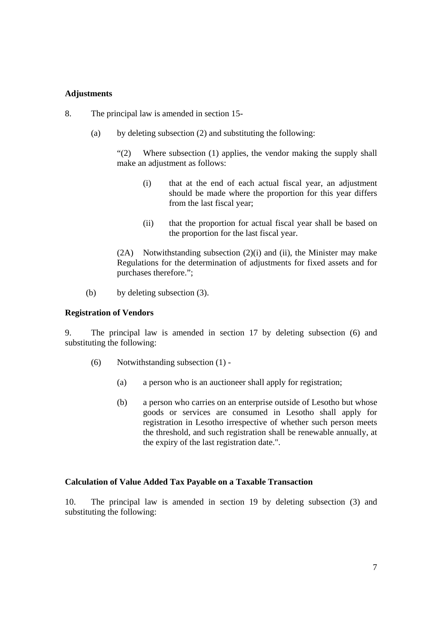# **Adjustments**

- 8. The principal law is amended in section 15-
	- (a) by deleting subsection (2) and substituting the following:

 "(2) Where subsection (1) applies, the vendor making the supply shall make an adjustment as follows:

- (i) that at the end of each actual fiscal year, an adjustment should be made where the proportion for this year differs from the last fiscal year;
- (ii) that the proportion for actual fiscal year shall be based on the proportion for the last fiscal year.

 (2A) Notwithstanding subsection (2)(i) and (ii), the Minister may make Regulations for the determination of adjustments for fixed assets and for purchases therefore.";

(b) by deleting subsection (3).

#### **Registration of Vendors**

9. The principal law is amended in section 17 by deleting subsection (6) and substituting the following:

- (6) Notwithstanding subsection (1)
	- (a) a person who is an auctioneer shall apply for registration;
	- (b) a person who carries on an enterprise outside of Lesotho but whose goods or services are consumed in Lesotho shall apply for registration in Lesotho irrespective of whether such person meets the threshold, and such registration shall be renewable annually, at the expiry of the last registration date.".

#### **Calculation of Value Added Tax Payable on a Taxable Transaction**

10. The principal law is amended in section 19 by deleting subsection (3) and substituting the following: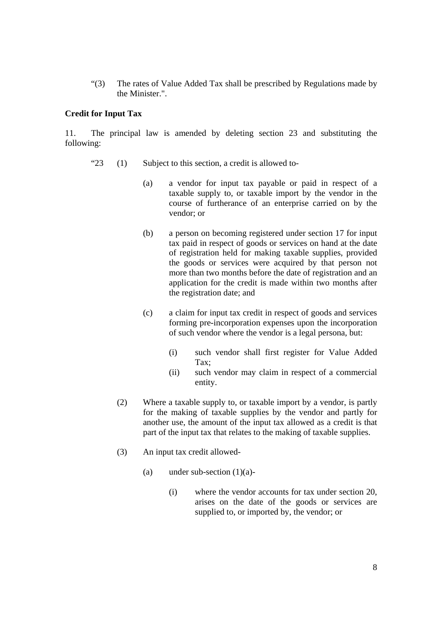"(3) The rates of Value Added Tax shall be prescribed by Regulations made by the Minister.".

# **Credit for Input Tax**

11. The principal law is amended by deleting section 23 and substituting the following:

- " $23$  (1) Subject to this section, a credit is allowed to-
	- (a) a vendor for input tax payable or paid in respect of a taxable supply to, or taxable import by the vendor in the course of furtherance of an enterprise carried on by the vendor; or
	- (b) a person on becoming registered under section 17 for input tax paid in respect of goods or services on hand at the date of registration held for making taxable supplies, provided the goods or services were acquired by that person not more than two months before the date of registration and an application for the credit is made within two months after the registration date; and
	- (c) a claim for input tax credit in respect of goods and services forming pre-incorporation expenses upon the incorporation of such vendor where the vendor is a legal persona, but:
		- (i) such vendor shall first register for Value Added Tax;
		- (ii) such vendor may claim in respect of a commercial entity.
	- (2) Where a taxable supply to, or taxable import by a vendor, is partly for the making of taxable supplies by the vendor and partly for another use, the amount of the input tax allowed as a credit is that part of the input tax that relates to the making of taxable supplies.
	- (3) An input tax credit allowed-
		- (a) under sub-section  $(1)(a)$ -
			- (i) where the vendor accounts for tax under section 20, arises on the date of the goods or services are supplied to, or imported by, the vendor; or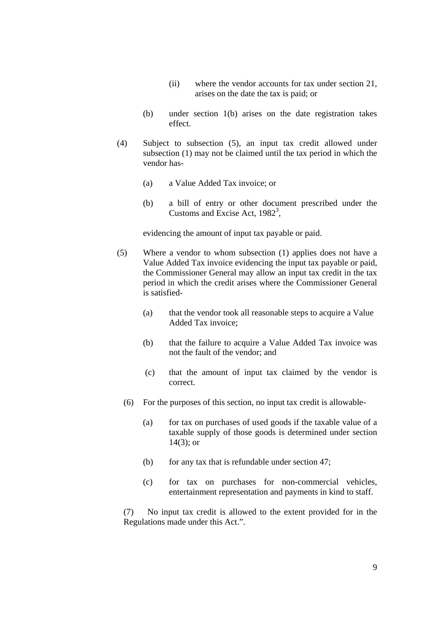- (ii) where the vendor accounts for tax under section 21, arises on the date the tax is paid; or
- (b) under section 1(b) arises on the date registration takes effect.
- (4) Subject to subsection (5), an input tax credit allowed under subsection (1) may not be claimed until the tax period in which the vendor has-
	- (a) a Value Added Tax invoice; or
	- (b) a bill of entry or other document prescribed under the Customs and Excise Act,  $1982^3$ ,

evidencing the amount of input tax payable or paid.

- (5) Where a vendor to whom subsection (1) applies does not have a Value Added Tax invoice evidencing the input tax payable or paid, the Commissioner General may allow an input tax credit in the tax period in which the credit arises where the Commissioner General is satisfied-
	- (a) that the vendor took all reasonable steps to acquire a Value Added Tax invoice;
	- (b) that the failure to acquire a Value Added Tax invoice was not the fault of the vendor; and
	- (c) that the amount of input tax claimed by the vendor is correct.
	- (6) For the purposes of this section, no input tax credit is allowable-
		- (a) for tax on purchases of used goods if the taxable value of a taxable supply of those goods is determined under section 14(3); or
		- (b) for any tax that is refundable under section 47;
		- (c) for tax on purchases for non-commercial vehicles, entertainment representation and payments in kind to staff.

 (7) No input tax credit is allowed to the extent provided for in the Regulations made under this Act.".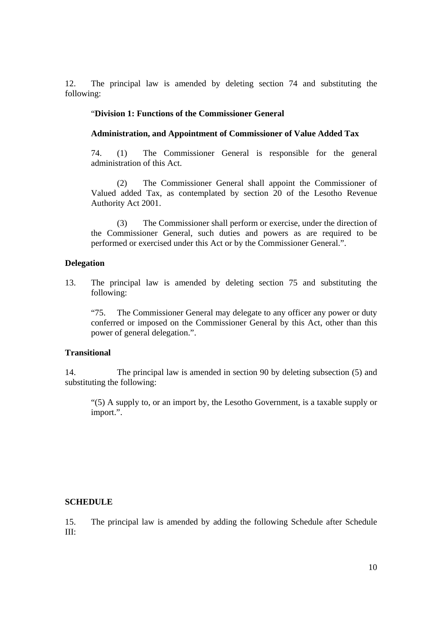12. The principal law is amended by deleting section 74 and substituting the following:

### "**Division 1: Functions of the Commissioner General**

#### **Administration, and Appointment of Commissioner of Value Added Tax**

74. (1) The Commissioner General is responsible for the general administration of this Act.

 (2) The Commissioner General shall appoint the Commissioner of Valued added Tax, as contemplated by section 20 of the Lesotho Revenue Authority Act 2001.

 (3) The Commissioner shall perform or exercise, under the direction of the Commissioner General, such duties and powers as are required to be performed or exercised under this Act or by the Commissioner General.".

# **Delegation**

13. The principal law is amended by deleting section 75 and substituting the following:

 "75. The Commissioner General may delegate to any officer any power or duty conferred or imposed on the Commissioner General by this Act, other than this power of general delegation.".

#### **Transitional**

14. The principal law is amended in section 90 by deleting subsection (5) and substituting the following:

"(5) A supply to, or an import by, the Lesotho Government, is a taxable supply or import.".

#### **SCHEDULE**

15. The principal law is amended by adding the following Schedule after Schedule III: